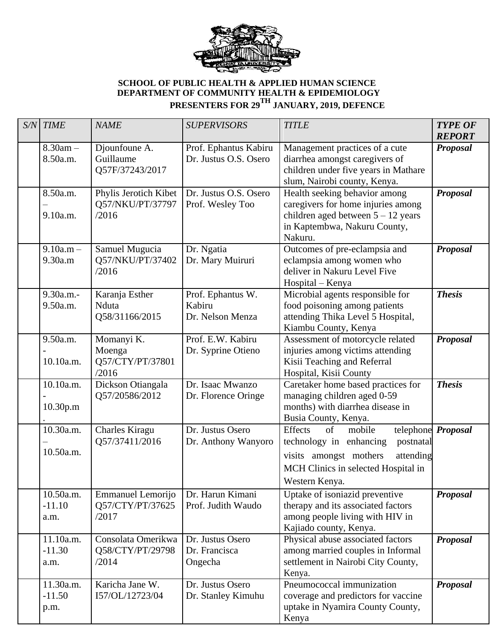

## **SCHOOL OF PUBLIC HEALTH & APPLIED HUMAN SCIENCE DEPARTMENT OF COMMUNITY HEALTH & EPIDEMIOLOGY PRESENTERS FOR 29TH JANUARY, 2019, DEFENCE**

| $S/N$ TIME                    | <b>NAME</b>                                           | <b>SUPERVISORS</b>                              | <b>TITLE</b>                                                                                                                                                           | <b>TYPE OF</b><br><b>REPORT</b> |
|-------------------------------|-------------------------------------------------------|-------------------------------------------------|------------------------------------------------------------------------------------------------------------------------------------------------------------------------|---------------------------------|
| $8.30am -$<br>8.50a.m.        | Djounfoune A.<br>Guillaume<br>Q57F/37243/2017         | Prof. Ephantus Kabiru<br>Dr. Justus O.S. Osero  | Management practices of a cute<br>diarrhea amongst caregivers of<br>children under five years in Mathare<br>slum, Nairobi county, Kenya.                               | <b>Proposal</b>                 |
| 8.50a.m.<br>9.10a.m.          | Phylis Jerotich Kibet<br>Q57/NKU/PT/37797<br>/2016    | Dr. Justus O.S. Osero<br>Prof. Wesley Too       | Health seeking behavior among<br>caregivers for home injuries among<br>children aged between $5 - 12$ years<br>in Kaptembwa, Nakuru County,<br>Nakuru.                 | <b>Proposal</b>                 |
| $9.10a.m -$<br>9.30a.m        | Samuel Mugucia<br>Q57/NKU/PT/37402<br>/2016           | Dr. Ngatia<br>Dr. Mary Muiruri                  | Outcomes of pre-eclampsia and<br>eclampsia among women who<br>deliver in Nakuru Level Five<br>Hospital - Kenya                                                         | <b>Proposal</b>                 |
| 9.30a.m.-<br>9.50a.m.         | Karanja Esther<br>Nduta<br>Q58/31166/2015             | Prof. Ephantus W.<br>Kabiru<br>Dr. Nelson Menza | Microbial agents responsible for<br>food poisoning among patients<br>attending Thika Level 5 Hospital,<br>Kiambu County, Kenya                                         | <b>Thesis</b>                   |
| 9.50a.m.<br>10.10a.m.         | Momanyi K.<br>Moenga<br>Q57/CTY/PT/37801<br>/2016     | Prof. E.W. Kabiru<br>Dr. Syprine Otieno         | Assessment of motorcycle related<br>injuries among victims attending<br>Kisii Teaching and Referral<br>Hospital, Kisii County                                          | <b>Proposal</b>                 |
| 10.10a.m.<br>10.30p.m         | Dickson Otiangala<br>Q57/20586/2012                   | Dr. Isaac Mwanzo<br>Dr. Florence Oringe         | Caretaker home based practices for<br>managing children aged 0-59<br>months) with diarrhea disease in<br>Busia County, Kenya.                                          | <b>Thesis</b>                   |
| 10.30a.m.<br>10.50a.m.        | <b>Charles Kiragu</b><br>Q57/37411/2016               | Dr. Justus Osero<br>Dr. Anthony Wanyoro         | <b>Effects</b><br>mobile<br>of<br>technology in enhancing<br>postnatal<br>visits amongst mothers<br>attending<br>MCH Clinics in selected Hospital in<br>Western Kenya. | telephone Proposal              |
| 10.50a.m.<br>$-11.10$<br>a.m. | <b>Emmanuel Lemorijo</b><br>Q57/CTY/PT/37625<br>/2017 | Dr. Harun Kimani<br>Prof. Judith Waudo          | Uptake of isoniazid preventive<br>therapy and its associated factors<br>among people living with HIV in<br>Kajiado county, Kenya.                                      | <b>Proposal</b>                 |
| 11.10a.m.<br>$-11.30$<br>a.m. | Consolata Omerikwa<br>Q58/CTY/PT/29798<br>/2014       | Dr. Justus Osero<br>Dr. Francisca<br>Ongecha    | Physical abuse associated factors<br>among married couples in Informal<br>settlement in Nairobi City County,<br>Kenya.                                                 | <b>Proposal</b>                 |
| 11.30a.m.<br>$-11.50$<br>p.m. | Karicha Jane W.<br>I57/OL/12723/04                    | Dr. Justus Osero<br>Dr. Stanley Kimuhu          | Pneumococcal immunization<br>coverage and predictors for vaccine<br>uptake in Nyamira County County,<br>Kenya                                                          | <b>Proposal</b>                 |